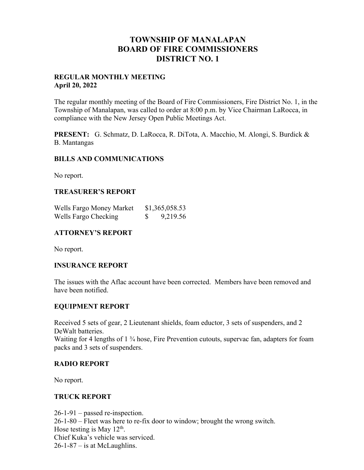## **TOWNSHIP OF MANALAPAN BOARD OF FIRE COMMISSIONERS DISTRICT NO. 1**

#### **REGULAR MONTHLY MEETING April 20, 2022**

The regular monthly meeting of the Board of Fire Commissioners, Fire District No. 1, in the Township of Manalapan, was called to order at 8:00 p.m. by Vice Chairman LaRocca, in compliance with the New Jersey Open Public Meetings Act.

**PRESENT:** G. Schmatz, D. LaRocca, R. DiTota, A. Macchio, M. Alongi, S. Burdick & B. Mantangas

### **BILLS AND COMMUNICATIONS**

No report.

### **TREASURER'S REPORT**

| Wells Fargo Money Market | \$1,365,058.53 |
|--------------------------|----------------|
| Wells Fargo Checking     | 9,219.56       |

## **ATTORNEY'S REPORT**

No report.

#### **INSURANCE REPORT**

The issues with the Aflac account have been corrected. Members have been removed and have been notified.

## **EQUIPMENT REPORT**

Received 5 sets of gear, 2 Lieutenant shields, foam eductor, 3 sets of suspenders, and 2 DeWalt batteries. Waiting for 4 lengths of 1 <sup>3</sup>/<sub>4</sub> hose, Fire Prevention cutouts, supervac fan, adapters for foam

packs and 3 sets of suspenders.

#### **RADIO REPORT**

No report.

## **TRUCK REPORT**

26-1-91 – passed re-inspection. 26-1-80 – Fleet was here to re-fix door to window; brought the wrong switch. Hose testing is May  $12<sup>th</sup>$ . Chief Kuka's vehicle was serviced.  $26-1-87$  – is at McLaughlins.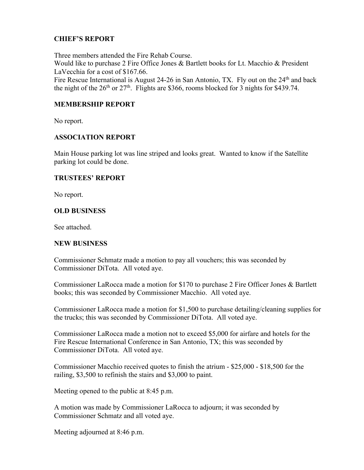## **CHIEF'S REPORT**

Three members attended the Fire Rehab Course. Would like to purchase 2 Fire Office Jones & Bartlett books for Lt. Macchio & President LaVecchia for a cost of \$167.66.

Fire Rescue International is August 24-26 in San Antonio, TX. Fly out on the 24<sup>th</sup> and back the night of the  $26<sup>th</sup>$  or  $27<sup>th</sup>$ . Flights are \$366, rooms blocked for 3 nights for \$439.74.

## **MEMBERSHIP REPORT**

No report.

### **ASSOCIATION REPORT**

Main House parking lot was line striped and looks great. Wanted to know if the Satellite parking lot could be done.

### **TRUSTEES' REPORT**

No report.

## **OLD BUSINESS**

See attached.

#### **NEW BUSINESS**

Commissioner Schmatz made a motion to pay all vouchers; this was seconded by Commissioner DiTota. All voted aye.

Commissioner LaRocca made a motion for \$170 to purchase 2 Fire Officer Jones & Bartlett books; this was seconded by Commissioner Macchio. All voted aye.

Commissioner LaRocca made a motion for \$1,500 to purchase detailing/cleaning supplies for the trucks; this was seconded by Commissioner DiTota. All voted aye.

Commissioner LaRocca made a motion not to exceed \$5,000 for airfare and hotels for the Fire Rescue International Conference in San Antonio, TX; this was seconded by Commissioner DiTota. All voted aye.

Commissioner Macchio received quotes to finish the atrium - \$25,000 - \$18,500 for the railing, \$3,500 to refinish the stairs and \$3,000 to paint.

Meeting opened to the public at 8:45 p.m.

A motion was made by Commissioner LaRocca to adjourn; it was seconded by Commissioner Schmatz and all voted aye.

Meeting adjourned at 8:46 p.m.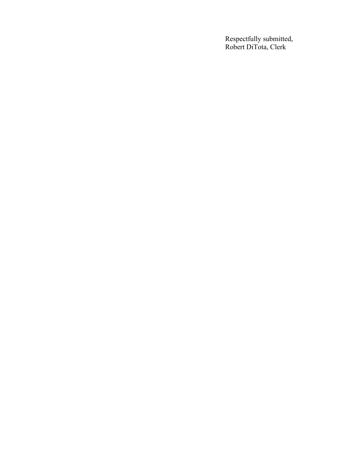Respectfully submitted, Robert DiTota, Clerk